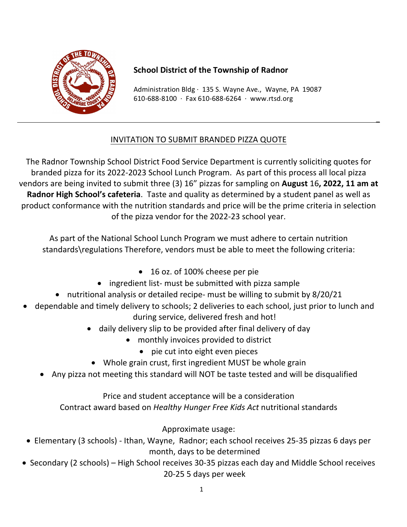

## **School District of the Township of Radnor School District of the Township of Radnor**

 $610-688-8100$  · Fax  $610-688-6264$  · www.rtsd.org Administration Bldg  $\cdot$  135 S. Wayne Ave., Wayne, PA 19087

## INVITATION TO SUBMIT BRANDED PIZZA QUOTE

The Radnor Township School District Food Service Department is currently soliciting quotes for branded pizza for its 2022-2023 School Lunch Program. As part of this process all local pizza vendors are being invited to submit three (3) 16" pizzas for sampling on **August** 16, 2022, 11 am at Radnor High School's cafeteria. Taste and quality as determined by a student panel as well as product conformance with the nutrition standards and price will be the prime criteria in selection of the pizza vendor for the 2022-23 school year.

As part of the National School Lunch Program we must adhere to certain nutrition standards\regulations Therefore, vendors must be able to meet the following criteria:

- 16 oz. of 100% cheese per pie
- ingredient list- must be submitted with pizza sample
- nutritional analysis or detailed recipe- must be willing to submit by 8/20/21
- dependable and timely delivery to schools; 2 deliveries to each school, just prior to lunch and during service, delivered fresh and hot!
	- daily delivery slip to be provided after final delivery of day
		- monthly invoices provided to district
			- pie cut into eight even pieces
	- Whole grain crust, first ingredient MUST be whole grain
	- Any pizza not meeting this standard will NOT be taste tested and will be disqualified

Price and student acceptance will be a consideration Contract award based on *Healthy Hunger Free Kids Act* nutritional standards

Approximate usage:

- Elementary (3 schools) Ithan, Wayne, Radnor; each school receives 25-35 pizzas 6 days per month, days to be determined
- Secondary (2 schools) High School receives 30-35 pizzas each day and Middle School receives 20-25 5 days per week